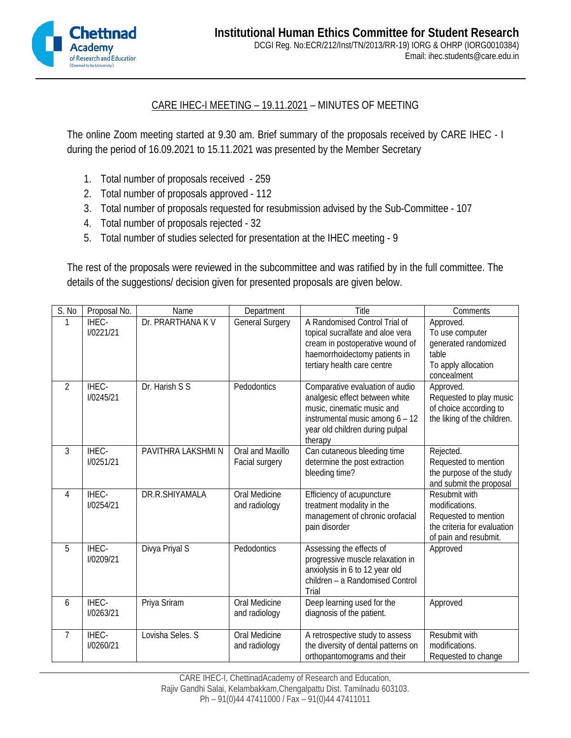

## CARE IHEC-I MEETING – 19.11.2021 – MINUTES OF MEETING

The online Zoom meeting started at 9.30 am. Brief summary of the proposals received by CARE IHEC - I during the period of 16.09.2021 to 15.11.2021 was presented by the Member Secretary

- 1. Total number of proposals received 259
- 2. Total number of proposals approved 112
- 3. Total number of proposals requested for resubmission advised by the Sub-Committee 107
- 4. Total number of proposals rejected 32
- 5. Total number of studies selected for presentation at the IHEC meeting 9

The rest of the proposals were reviewed in the subcommittee and was ratified by in the full committee. The details of the suggestions/ decision given for presented proposals are given below.

| S. No          | Proposal No.              | Name               | Department                         | Title                                                                                                                                                                            | Comments                                                                                                        |
|----------------|---------------------------|--------------------|------------------------------------|----------------------------------------------------------------------------------------------------------------------------------------------------------------------------------|-----------------------------------------------------------------------------------------------------------------|
| 1              | IHEC-<br><b>I/0221/21</b> | Dr. PRARTHANA K V  | <b>General Surgery</b>             | A Randomised Control Trial of<br>topical sucralfate and aloe vera<br>cream in postoperative wound of<br>haemorrhoidectomy patients in<br>tertiary health care centre             | Approved.<br>To use computer<br>generated randomized<br>table<br>To apply allocation<br>concealment             |
| $\overline{2}$ | IHEC-<br>I/0245/21        | Dr. Harish S S     | Pedodontics                        | Comparative evaluation of audio<br>analgesic effect between white<br>music, cinematic music and<br>instrumental music among 6 - 12<br>year old children during pulpal<br>therapy | Approved.<br>Requested to play music<br>of choice according to<br>the liking of the children.                   |
| $\overline{3}$ | IHEC-<br><b>I/0251/21</b> | PAVITHRA LAKSHMI N | Oral and Maxillo<br>Facial surgery | Can cutaneous bleeding time<br>determine the post extraction<br>bleeding time?                                                                                                   | Rejected.<br>Requested to mention<br>the purpose of the study<br>and submit the proposal                        |
| 4              | IHEC-<br><b>I/0254/21</b> | DR.R.SHIYAMALA     | Oral Medicine<br>and radiology     | Efficiency of acupuncture<br>treatment modality in the<br>management of chronic orofacial<br>pain disorder                                                                       | Resubmit with<br>modifications.<br>Requested to mention<br>the criteria for evaluation<br>of pain and resubmit. |
| 5              | IHEC-<br>I/0209/21        | Divya Priyal S     | Pedodontics                        | Assessing the effects of<br>progressive muscle relaxation in<br>anxiolysis in 6 to 12 year old<br>children - a Randomised Control<br>Trial                                       | Approved                                                                                                        |
| 6              | IHEC-<br><b>I/0263/21</b> | Priya Sriram       | Oral Medicine<br>and radiology     | Deep learning used for the<br>diagnosis of the patient.                                                                                                                          | Approved                                                                                                        |
| 7              | <b>IHEC-</b><br>I/0260/21 | Lovisha Seles. S   | Oral Medicine<br>and radiology     | A retrospective study to assess<br>the diversity of dental patterns on<br>orthopantomograms and their                                                                            | Resubmit with<br>modifications.<br>Requested to change                                                          |